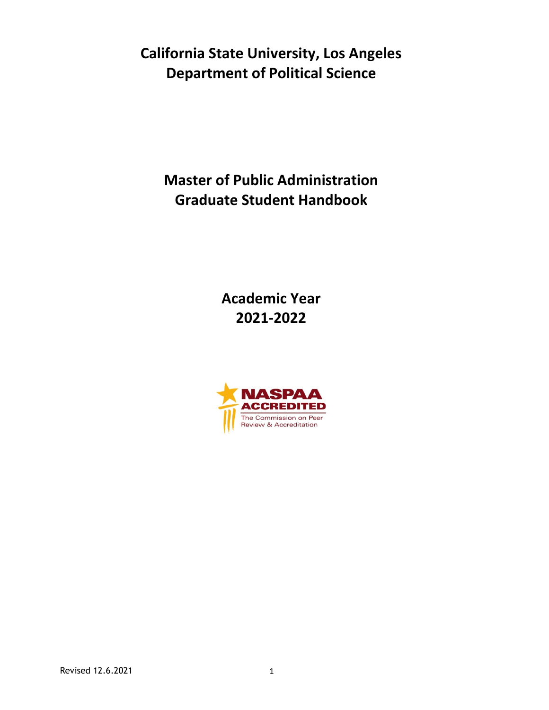**California State University, Los Angeles Department of Political Science**

**Master of Public Administration Graduate Student Handbook**

> **Academic Year 2021-2022**

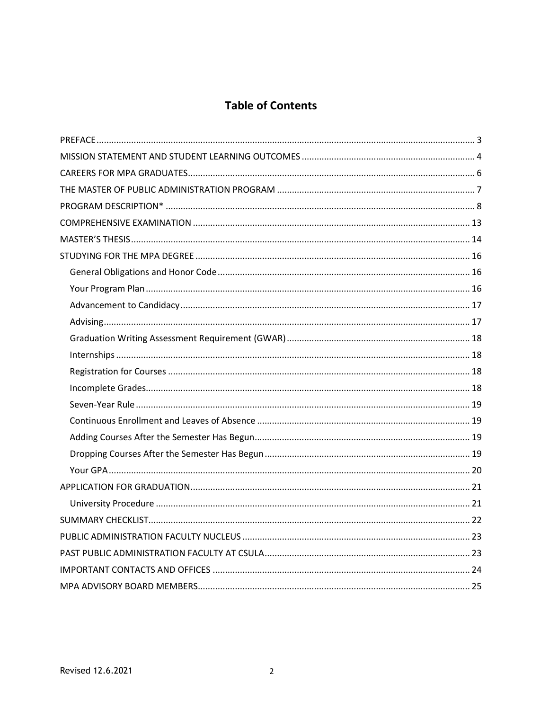# **Table of Contents**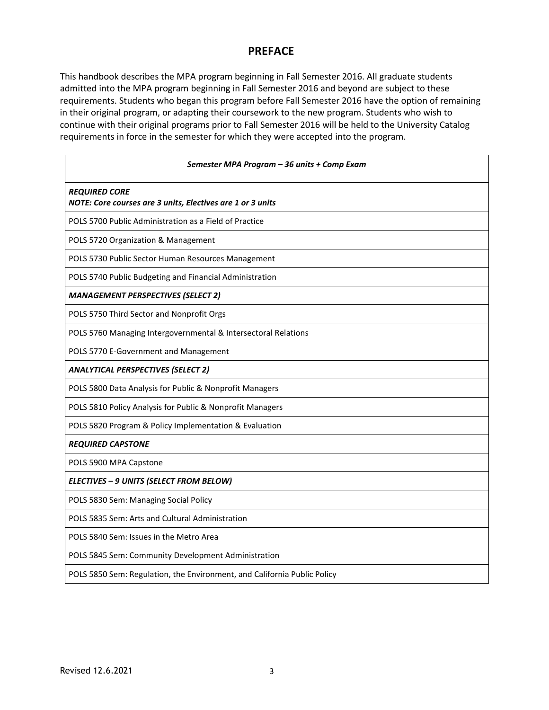## **PREFACE**

This handbook describes the MPA program beginning in Fall Semester 2016. All graduate students admitted into the MPA program beginning in Fall Semester 2016 and beyond are subject to these requirements. Students who began this program before Fall Semester 2016 have the option of remaining in their original program, or adapting their coursework to the new program. Students who wish to continue with their original programs prior to Fall Semester 2016 will be held to the University Catalog requirements in force in the semester for which they were accepted into the program.

| Semester MPA Program - 36 units + Comp Exam                                        |  |  |  |  |  |
|------------------------------------------------------------------------------------|--|--|--|--|--|
| <b>REQUIRED CORE</b><br>NOTE: Core courses are 3 units, Electives are 1 or 3 units |  |  |  |  |  |
| POLS 5700 Public Administration as a Field of Practice                             |  |  |  |  |  |
| POLS 5720 Organization & Management                                                |  |  |  |  |  |
| POLS 5730 Public Sector Human Resources Management                                 |  |  |  |  |  |
| POLS 5740 Public Budgeting and Financial Administration                            |  |  |  |  |  |
| <b>MANAGEMENT PERSPECTIVES (SELECT 2)</b>                                          |  |  |  |  |  |
| POLS 5750 Third Sector and Nonprofit Orgs                                          |  |  |  |  |  |
| POLS 5760 Managing Intergovernmental & Intersectoral Relations                     |  |  |  |  |  |
| POLS 5770 E-Government and Management                                              |  |  |  |  |  |
| <b>ANALYTICAL PERSPECTIVES (SELECT 2)</b>                                          |  |  |  |  |  |
| POLS 5800 Data Analysis for Public & Nonprofit Managers                            |  |  |  |  |  |
| POLS 5810 Policy Analysis for Public & Nonprofit Managers                          |  |  |  |  |  |
| POLS 5820 Program & Policy Implementation & Evaluation                             |  |  |  |  |  |
| <b>REQUIRED CAPSTONE</b>                                                           |  |  |  |  |  |
| POLS 5900 MPA Capstone                                                             |  |  |  |  |  |
| ELECTIVES - 9 UNITS (SELECT FROM BELOW)                                            |  |  |  |  |  |
| POLS 5830 Sem: Managing Social Policy                                              |  |  |  |  |  |
| POLS 5835 Sem: Arts and Cultural Administration                                    |  |  |  |  |  |
| POLS 5840 Sem: Issues in the Metro Area                                            |  |  |  |  |  |
| POLS 5845 Sem: Community Development Administration                                |  |  |  |  |  |
| POLS 5850 Sem: Regulation, the Environment, and California Public Policy           |  |  |  |  |  |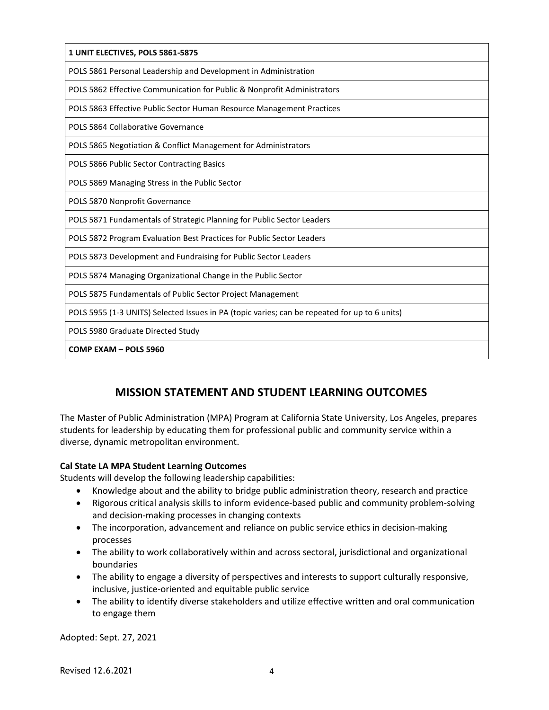| 1 UNIT ELECTIVES, POLS 5861-5875                                                              |
|-----------------------------------------------------------------------------------------------|
| POLS 5861 Personal Leadership and Development in Administration                               |
| POLS 5862 Effective Communication for Public & Nonprofit Administrators                       |
| POLS 5863 Effective Public Sector Human Resource Management Practices                         |
| POLS 5864 Collaborative Governance                                                            |
| POLS 5865 Negotiation & Conflict Management for Administrators                                |
| POLS 5866 Public Sector Contracting Basics                                                    |
| POLS 5869 Managing Stress in the Public Sector                                                |
| POLS 5870 Nonprofit Governance                                                                |
| POLS 5871 Fundamentals of Strategic Planning for Public Sector Leaders                        |
| POLS 5872 Program Evaluation Best Practices for Public Sector Leaders                         |
| POLS 5873 Development and Fundraising for Public Sector Leaders                               |
| POLS 5874 Managing Organizational Change in the Public Sector                                 |
| POLS 5875 Fundamentals of Public Sector Project Management                                    |
| POLS 5955 (1-3 UNITS) Selected Issues in PA (topic varies; can be repeated for up to 6 units) |
| POLS 5980 Graduate Directed Study                                                             |
| COMP EXAM - POLS 5960                                                                         |

# **MISSION STATEMENT AND STUDENT LEARNING OUTCOMES**

The Master of Public Administration (MPA) Program at California State University, Los Angeles, prepares students for leadership by educating them for professional public and community service within a diverse, dynamic metropolitan environment.

# **Cal State LA MPA Student Learning Outcomes**

Students will develop the following leadership capabilities:

- Knowledge about and the ability to bridge public administration theory, research and practice
- Rigorous critical analysis skills to inform evidence-based public and community problem-solving and decision-making processes in changing contexts
- The incorporation, advancement and reliance on public service ethics in decision-making processes
- The ability to work collaboratively within and across sectoral, jurisdictional and organizational boundaries
- The ability to engage a diversity of perspectives and interests to support culturally responsive, inclusive, justice-oriented and equitable public service
- The ability to identify diverse stakeholders and utilize effective written and oral communication to engage them

Adopted: Sept. 27, 2021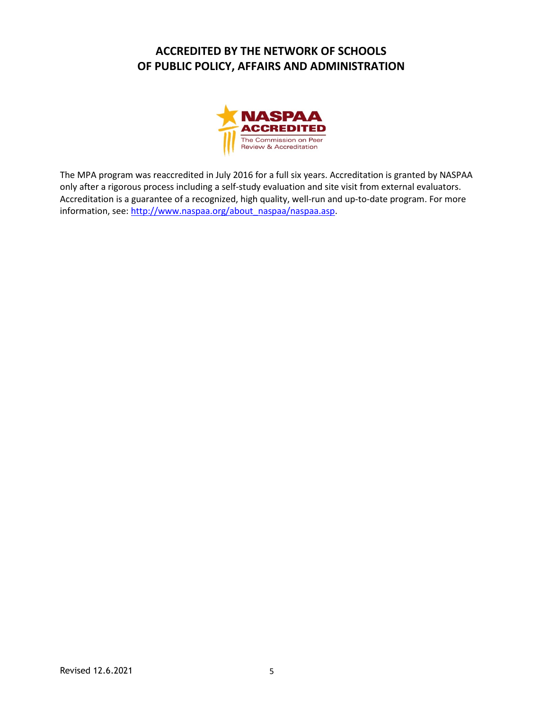# **ACCREDITED BY THE NETWORK OF SCHOOLS OF PUBLIC POLICY, AFFAIRS AND ADMINISTRATION**



The MPA program was reaccredited in July 2016 for a full six years. Accreditation is granted by NASPAA only after a rigorous process including a self-study evaluation and site visit from external evaluators. Accreditation is a guarantee of a recognized, high quality, well-run and up-to-date program. For more information, see: [http://www.naspaa.org/about\\_naspaa/naspaa.asp.](http://www.naspaa.org/about_naspaa/naspaa.asp)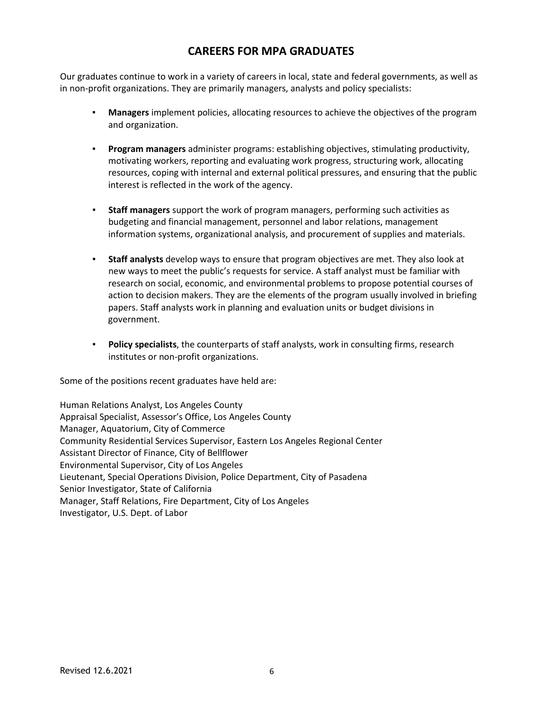# **CAREERS FOR MPA GRADUATES**

Our graduates continue to work in a variety of careers in local, state and federal governments, as well as in non-profit organizations. They are primarily managers, analysts and policy specialists:

- **Managers** implement policies, allocating resources to achieve the objectives of the program and organization.
- **▪ Program managers** administer programs: establishing objectives, stimulating productivity, motivating workers, reporting and evaluating work progress, structuring work, allocating resources, coping with internal and external political pressures, and ensuring that the public interest is reflected in the work of the agency.
- **▪ Staff managers** support the work of program managers, performing such activities as budgeting and financial management, personnel and labor relations, management information systems, organizational analysis, and procurement of supplies and materials.
- **▪ Staff analysts** develop ways to ensure that program objectives are met. They also look at new ways to meet the public's requests for service. A staff analyst must be familiar with research on social, economic, and environmental problems to propose potential courses of action to decision makers. They are the elements of the program usually involved in briefing papers. Staff analysts work in planning and evaluation units or budget divisions in government.
- **▪ Policy specialists**, the counterparts of staff analysts, work in consulting firms, research institutes or non-profit organizations.

Some of the positions recent graduates have held are:

Human Relations Analyst, Los Angeles County Appraisal Specialist, Assessor's Office, Los Angeles County Manager, Aquatorium, City of Commerce Community Residential Services Supervisor, Eastern Los Angeles Regional Center Assistant Director of Finance, City of Bellflower Environmental Supervisor, City of Los Angeles Lieutenant, Special Operations Division, Police Department, City of Pasadena Senior Investigator, State of California Manager, Staff Relations, Fire Department, City of Los Angeles Investigator, U.S. Dept. of Labor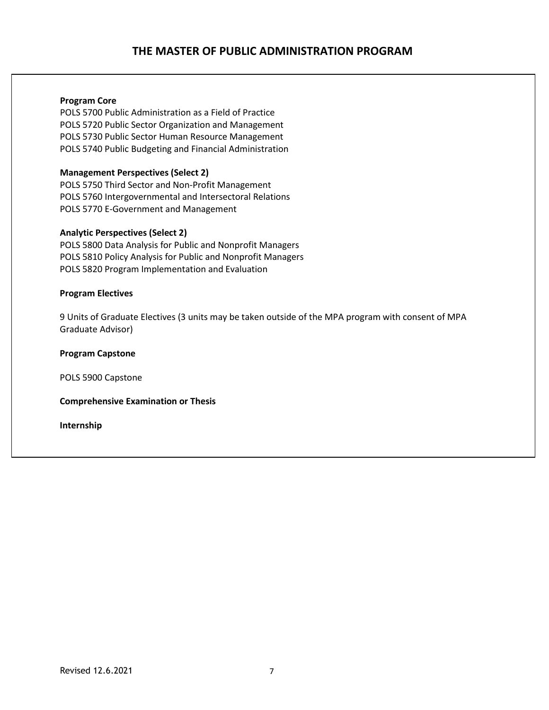# **THE MASTER OF PUBLIC ADMINISTRATION PROGRAM**

#### **Program Core**

POLS 5700 Public Administration as a Field of Practice POLS 5720 Public Sector Organization and Management POLS 5730 Public Sector Human Resource Management POLS 5740 Public Budgeting and Financial Administration

#### **Management Perspectives (Select 2)**

POLS 5750 Third Sector and Non-Profit Management POLS 5760 Intergovernmental and Intersectoral Relations POLS 5770 E-Government and Management

#### **Analytic Perspectives (Select 2)**

POLS 5800 Data Analysis for Public and Nonprofit Managers POLS 5810 Policy Analysis for Public and Nonprofit Managers POLS 5820 Program Implementation and Evaluation

#### **Program Electives**

9 Units of Graduate Electives (3 units may be taken outside of the MPA program with consent of MPA Graduate Advisor)

**Program Capstone**

POLS 5900 Capstone

**Comprehensive Examination or Thesis**

**Internship**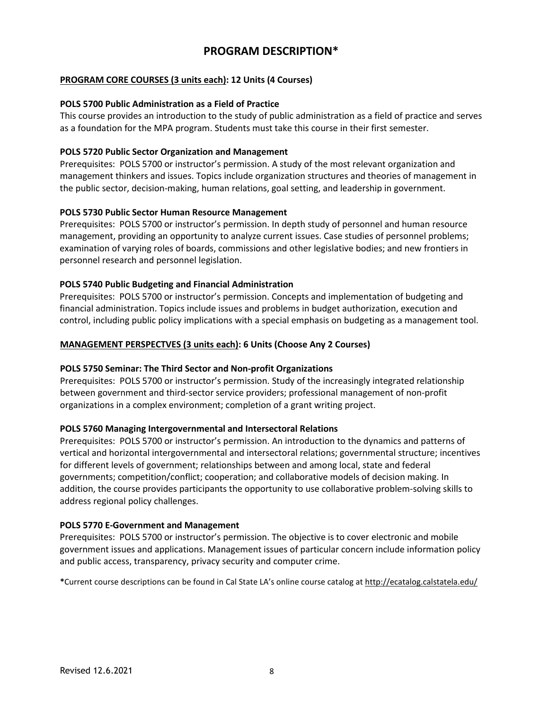## **PROGRAM DESCRIPTION\***

### **PROGRAM CORE COURSES (3 units each): 12 Units (4 Courses)**

#### **POLS 5700 Public Administration as a Field of Practice**

This course provides an introduction to the study of public administration as a field of practice and serves as a foundation for the MPA program. Students must take this course in their first semester.

#### **POLS 5720 Public Sector Organization and Management**

Prerequisites: POLS 5700 or instructor's permission. A study of the most relevant organization and management thinkers and issues. Topics include organization structures and theories of management in the public sector, decision-making, human relations, goal setting, and leadership in government.

#### **POLS 5730 Public Sector Human Resource Management**

Prerequisites: POLS 5700 or instructor's permission. In depth study of personnel and human resource management, providing an opportunity to analyze current issues. Case studies of personnel problems; examination of varying roles of boards, commissions and other legislative bodies; and new frontiers in personnel research and personnel legislation.

#### **POLS 5740 Public Budgeting and Financial Administration**

Prerequisites: POLS 5700 or instructor's permission. Concepts and implementation of budgeting and financial administration. Topics include issues and problems in budget authorization, execution and control, including public policy implications with a special emphasis on budgeting as a management tool.

#### **MANAGEMENT PERSPECTVES (3 units each): 6 Units (Choose Any 2 Courses)**

#### **POLS 5750 Seminar: The Third Sector and Non-profit Organizations**

Prerequisites: POLS 5700 or instructor's permission. Study of the increasingly integrated relationship between government and third-sector service providers; professional management of non-profit organizations in a complex environment; completion of a grant writing project.

#### **POLS 5760 Managing Intergovernmental and Intersectoral Relations**

Prerequisites: POLS 5700 or instructor's permission. An introduction to the dynamics and patterns of vertical and horizontal intergovernmental and intersectoral relations; governmental structure; incentives for different levels of government; relationships between and among local, state and federal governments; competition/conflict; cooperation; and collaborative models of decision making. In addition, the course provides participants the opportunity to use collaborative problem-solving skills to address regional policy challenges.

#### **POLS 5770 E-Government and Management**

Prerequisites: POLS 5700 or instructor's permission. The objective is to cover electronic and mobile government issues and applications. Management issues of particular concern include information policy and public access, transparency, privacy security and computer crime.

**\***Current course descriptions can be found in Cal State LA's online course catalog at <http://ecatalog.calstatela.edu/>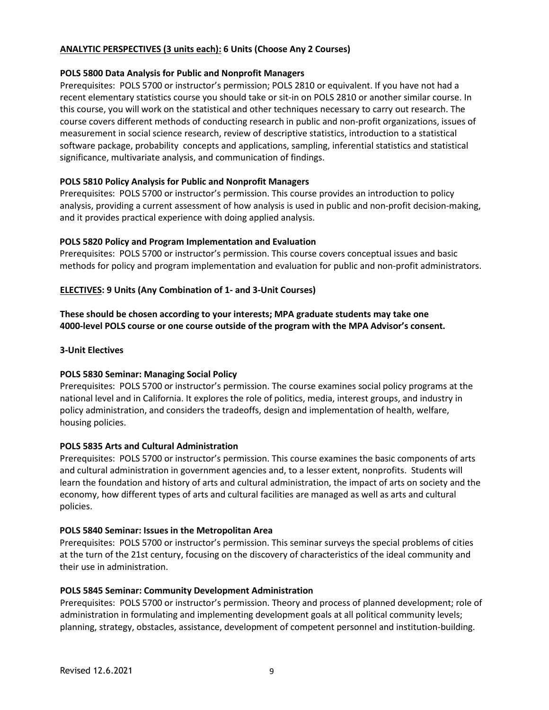### **ANALYTIC PERSPECTIVES (3 units each): 6 Units (Choose Any 2 Courses)**

#### **POLS 5800 Data Analysis for Public and Nonprofit Managers**

Prerequisites: POLS 5700 or instructor's permission; POLS 2810 or equivalent. If you have not had a recent elementary statistics course you should take or sit-in on POLS 2810 or another similar course. In this course, you will work on the statistical and other techniques necessary to carry out research. The course covers different methods of conducting research in public and non-profit organizations, issues of measurement in social science research, review of descriptive statistics, introduction to a statistical software package, probability concepts and applications, sampling, inferential statistics and statistical significance, multivariate analysis, and communication of findings.

### **POLS 5810 Policy Analysis for Public and Nonprofit Managers**

Prerequisites: POLS 5700 or instructor's permission. This course provides an introduction to policy analysis, providing a current assessment of how analysis is used in public and non-profit decision-making, and it provides practical experience with doing applied analysis.

### **POLS 5820 Policy and Program Implementation and Evaluation**

Prerequisites: POLS 5700 or instructor's permission. This course covers conceptual issues and basic methods for policy and program implementation and evaluation for public and non-profit administrators.

### **ELECTIVES: 9 Units (Any Combination of 1- and 3-Unit Courses)**

**These should be chosen according to your interests; MPA graduate students may take one 4000-level POLS course or one course outside of the program with the MPA Advisor's consent.**

### **3-Unit Electives**

#### **POLS 5830 Seminar: Managing Social Policy**

Prerequisites: POLS 5700 or instructor's permission. The course examines social policy programs at the national level and in California. It explores the role of politics, media, interest groups, and industry in policy administration, and considers the tradeoffs, design and implementation of health, welfare, housing policies.

#### **POLS 5835 Arts and Cultural Administration**

Prerequisites: POLS 5700 or instructor's permission. This course examines the basic components of arts and cultural administration in government agencies and, to a lesser extent, nonprofits. Students will learn the foundation and history of arts and cultural administration, the impact of arts on society and the economy, how different types of arts and cultural facilities are managed as well as arts and cultural policies.

#### **POLS 5840 Seminar: Issues in the Metropolitan Area**

Prerequisites: POLS 5700 or instructor's permission. This seminar surveys the special problems of cities at the turn of the 21st century, focusing on the discovery of characteristics of the ideal community and their use in administration.

#### **POLS 5845 Seminar: Community Development Administration**

Prerequisites: POLS 5700 or instructor's permission. Theory and process of planned development; role of administration in formulating and implementing development goals at all political community levels; planning, strategy, obstacles, assistance, development of competent personnel and institution-building.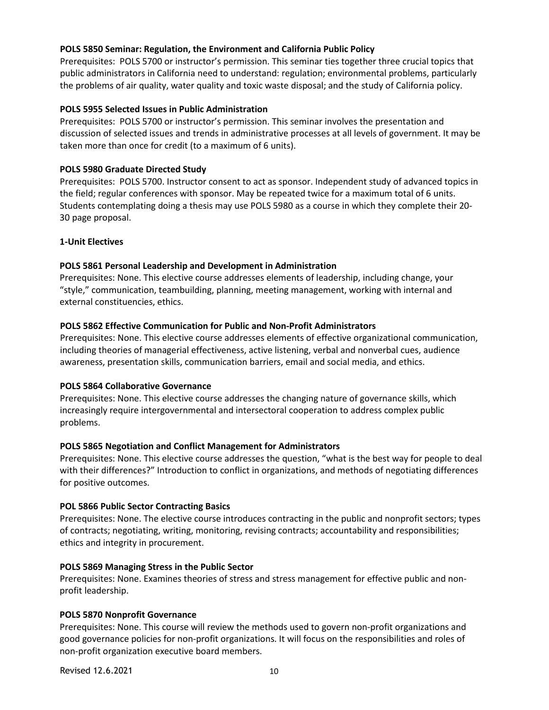### **POLS 5850 Seminar: Regulation, the Environment and California Public Policy**

Prerequisites: POLS 5700 or instructor's permission. This seminar ties together three crucial topics that public administrators in California need to understand: regulation; environmental problems, particularly the problems of air quality, water quality and toxic waste disposal; and the study of California policy.

### **POLS 5955 Selected Issues in Public Administration**

Prerequisites: POLS 5700 or instructor's permission. This seminar involves the presentation and discussion of selected issues and trends in administrative processes at all levels of government. It may be taken more than once for credit (to a maximum of 6 units).

### **POLS 5980 Graduate Directed Study**

Prerequisites: POLS 5700. Instructor consent to act as sponsor. Independent study of advanced topics in the field; regular conferences with sponsor. May be repeated twice for a maximum total of 6 units. Students contemplating doing a thesis may use POLS 5980 as a course in which they complete their 20- 30 page proposal.

### **1-Unit Electives**

### **POLS 5861 Personal Leadership and Development in Administration**

Prerequisites: None. This elective course addresses elements of leadership, including change, your "style," communication, teambuilding, planning, meeting management, working with internal and external constituencies, ethics.

#### **POLS 5862 Effective Communication for Public and Non-Profit Administrators**

Prerequisites: None. This elective course addresses elements of effective organizational communication, including theories of managerial effectiveness, active listening, verbal and nonverbal cues, audience awareness, presentation skills, communication barriers, email and social media, and ethics.

#### **POLS 5864 Collaborative Governance**

Prerequisites: None. This elective course addresses the changing nature of governance skills, which increasingly require intergovernmental and intersectoral cooperation to address complex public problems.

#### **POLS 5865 Negotiation and Conflict Management for Administrators**

Prerequisites: None. This elective course addresses the question, "what is the best way for people to deal with their differences?" Introduction to conflict in organizations, and methods of negotiating differences for positive outcomes.

#### **POL 5866 Public Sector Contracting Basics**

Prerequisites: None. The elective course introduces contracting in the public and nonprofit sectors; types of contracts; negotiating, writing, monitoring, revising contracts; accountability and responsibilities; ethics and integrity in procurement.

#### **POLS 5869 Managing Stress in the Public Sector**

Prerequisites: None. Examines theories of stress and stress management for effective public and nonprofit leadership.

#### **POLS 5870 Nonprofit Governance**

Prerequisites: None. This course will review the methods used to govern non-profit organizations and good governance policies for non-profit organizations. It will focus on the responsibilities and roles of non-profit organization executive board members.

Revised 12.6.2021 10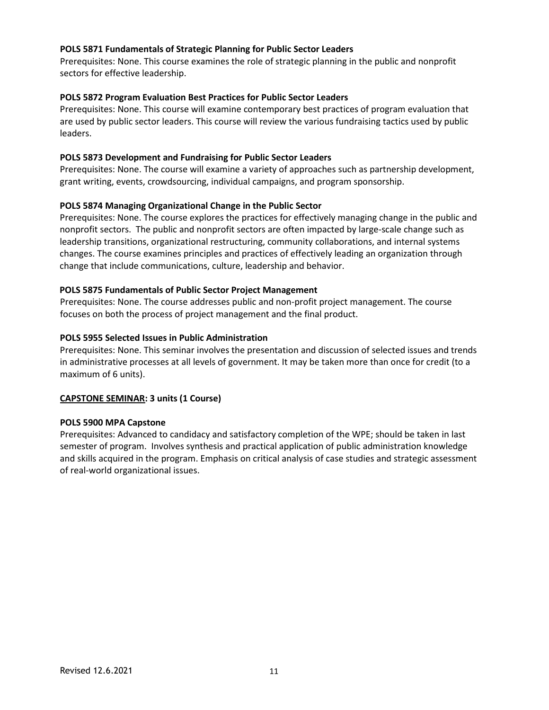#### **POLS 5871 Fundamentals of Strategic Planning for Public Sector Leaders**

Prerequisites: None. This course examines the role of strategic planning in the public and nonprofit sectors for effective leadership.

#### **POLS 5872 Program Evaluation Best Practices for Public Sector Leaders**

Prerequisites: None. This course will examine contemporary best practices of program evaluation that are used by public sector leaders. This course will review the various fundraising tactics used by public leaders.

#### **POLS 5873 Development and Fundraising for Public Sector Leaders**

Prerequisites: None. The course will examine a variety of approaches such as partnership development, grant writing, events, crowdsourcing, individual campaigns, and program sponsorship.

### **POLS 5874 Managing Organizational Change in the Public Sector**

Prerequisites: None. The course explores the practices for effectively managing change in the public and nonprofit sectors. The public and nonprofit sectors are often impacted by large-scale change such as leadership transitions, organizational restructuring, community collaborations, and internal systems changes. The course examines principles and practices of effectively leading an organization through change that include communications, culture, leadership and behavior.

#### **POLS 5875 Fundamentals of Public Sector Project Management**

Prerequisites: None. The course addresses public and non-profit project management. The course focuses on both the process of project management and the final product.

#### **POLS 5955 Selected Issues in Public Administration**

Prerequisites: None. This seminar involves the presentation and discussion of selected issues and trends in administrative processes at all levels of government. It may be taken more than once for credit (to a maximum of 6 units).

#### **CAPSTONE SEMINAR: 3 units (1 Course)**

#### **POLS 5900 MPA Capstone**

Prerequisites: Advanced to candidacy and satisfactory completion of the WPE; should be taken in last semester of program. Involves synthesis and practical application of public administration knowledge and skills acquired in the program. Emphasis on critical analysis of case studies and strategic assessment of real-world organizational issues.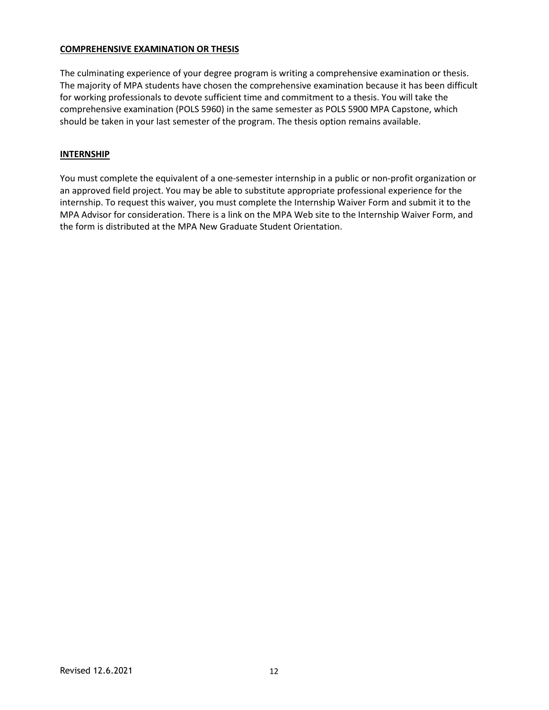### **COMPREHENSIVE EXAMINATION OR THESIS**

The culminating experience of your degree program is writing a comprehensive examination or thesis. The majority of MPA students have chosen the comprehensive examination because it has been difficult for working professionals to devote sufficient time and commitment to a thesis. You will take the comprehensive examination (POLS 5960) in the same semester as POLS 5900 MPA Capstone, which should be taken in your last semester of the program. The thesis option remains available.

### **INTERNSHIP**

You must complete the equivalent of a one-semester internship in a public or non-profit organization or an approved field project. You may be able to substitute appropriate professional experience for the internship. To request this waiver, you must complete the Internship Waiver Form and submit it to the MPA Advisor for consideration. There is a link on the MPA Web site to the Internship Waiver Form, and the form is distributed at the MPA New Graduate Student Orientation.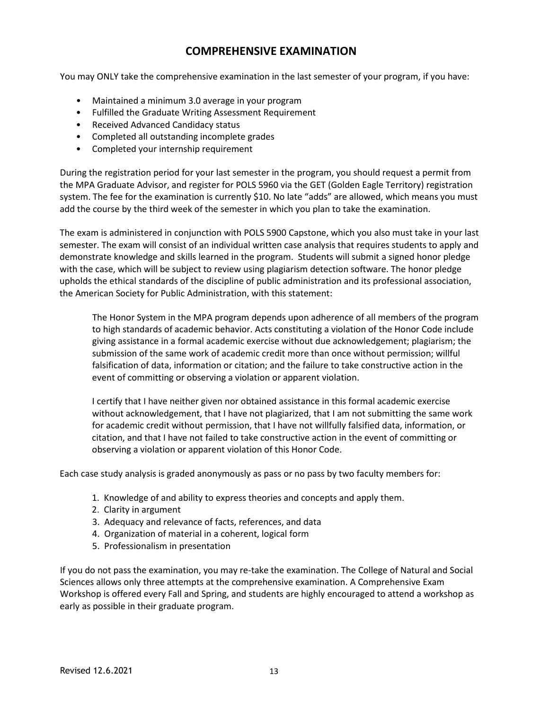# **COMPREHENSIVE EXAMINATION**

You may ONLY take the comprehensive examination in the last semester of your program, if you have:

- Maintained a minimum 3.0 average in your program
- Fulfilled the Graduate Writing Assessment Requirement
- Received Advanced Candidacy status
- Completed all outstanding incomplete grades
- Completed your internship requirement

During the registration period for your last semester in the program, you should request a permit from the MPA Graduate Advisor, and register for POLS 5960 via the GET (Golden Eagle Territory) registration system. The fee for the examination is currently \$10. No late "adds" are allowed, which means you must add the course by the third week of the semester in which you plan to take the examination.

The exam is administered in conjunction with POLS 5900 Capstone, which you also must take in your last semester. The exam will consist of an individual written case analysis that requires students to apply and demonstrate knowledge and skills learned in the program. Students will submit a signed honor pledge with the case, which will be subject to review using plagiarism detection software. The honor pledge upholds the ethical standards of the discipline of public administration and its professional association, the American Society for Public Administration, with this statement:

The Honor System in the MPA program depends upon adherence of all members of the program to high standards of academic behavior. Acts constituting a violation of the Honor Code include giving assistance in a formal academic exercise without due acknowledgement; plagiarism; the submission of the same work of academic credit more than once without permission; willful falsification of data, information or citation; and the failure to take constructive action in the event of committing or observing a violation or apparent violation.

I certify that I have neither given nor obtained assistance in this formal academic exercise without acknowledgement, that I have not plagiarized, that I am not submitting the same work for academic credit without permission, that I have not willfully falsified data, information, or citation, and that I have not failed to take constructive action in the event of committing or observing a violation or apparent violation of this Honor Code.

Each case study analysis is graded anonymously as pass or no pass by two faculty members for:

- 1. Knowledge of and ability to express theories and concepts and apply them.
- 2. Clarity in argument
- 3. Adequacy and relevance of facts, references, and data
- 4. Organization of material in a coherent, logical form
- 5. Professionalism in presentation

If you do not pass the examination, you may re-take the examination. The College of Natural and Social Sciences allows only three attempts at the comprehensive examination. A Comprehensive Exam Workshop is offered every Fall and Spring, and students are highly encouraged to attend a workshop as early as possible in their graduate program.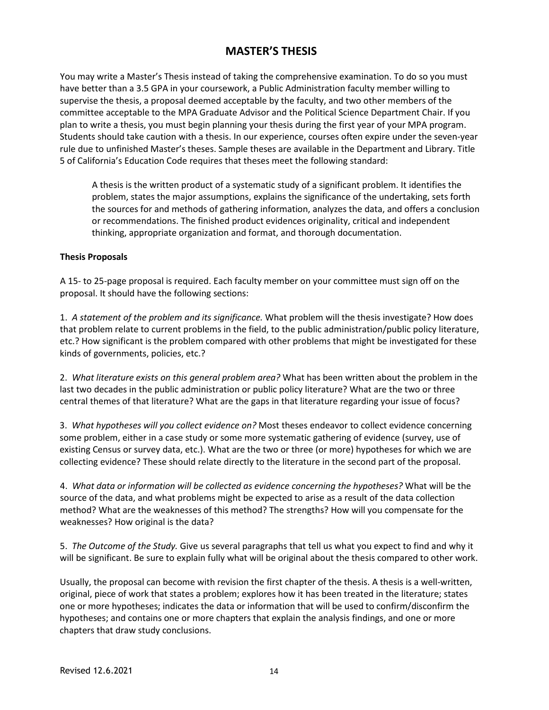# **MASTER'S THESIS**

You may write a Master's Thesis instead of taking the comprehensive examination. To do so you must have better than a 3.5 GPA in your coursework, a Public Administration faculty member willing to supervise the thesis, a proposal deemed acceptable by the faculty, and two other members of the committee acceptable to the MPA Graduate Advisor and the Political Science Department Chair. If you plan to write a thesis, you must begin planning your thesis during the first year of your MPA program. Students should take caution with a thesis. In our experience, courses often expire under the seven-year rule due to unfinished Master's theses. Sample theses are available in the Department and Library. Title 5 of California's Education Code requires that theses meet the following standard:

A thesis is the written product of a systematic study of a significant problem. It identifies the problem, states the major assumptions, explains the significance of the undertaking, sets forth the sources for and methods of gathering information, analyzes the data, and offers a conclusion or recommendations. The finished product evidences originality, critical and independent thinking, appropriate organization and format, and thorough documentation.

#### **Thesis Proposals**

A 15- to 25-page proposal is required. Each faculty member on your committee must sign off on the proposal. It should have the following sections:

1. *A statement of the problem and its significance.* What problem will the thesis investigate? How does that problem relate to current problems in the field, to the public administration/public policy literature, etc.? How significant is the problem compared with other problems that might be investigated for these kinds of governments, policies, etc.?

2. *What literature exists on this general problem area?* What has been written about the problem in the last two decades in the public administration or public policy literature? What are the two or three central themes of that literature? What are the gaps in that literature regarding your issue of focus?

3. *What hypotheses will you collect evidence on?* Most theses endeavor to collect evidence concerning some problem, either in a case study or some more systematic gathering of evidence (survey, use of existing Census or survey data, etc.). What are the two or three (or more) hypotheses for which we are collecting evidence? These should relate directly to the literature in the second part of the proposal.

4. *What data or information will be collected as evidence concerning the hypotheses?* What will be the source of the data, and what problems might be expected to arise as a result of the data collection method? What are the weaknesses of this method? The strengths? How will you compensate for the weaknesses? How original is the data?

5. *The Outcome of the Study.* Give us several paragraphs that tell us what you expect to find and why it will be significant. Be sure to explain fully what will be original about the thesis compared to other work.

Usually, the proposal can become with revision the first chapter of the thesis. A thesis is a well-written, original, piece of work that states a problem; explores how it has been treated in the literature; states one or more hypotheses; indicates the data or information that will be used to confirm/disconfirm the hypotheses; and contains one or more chapters that explain the analysis findings, and one or more chapters that draw study conclusions.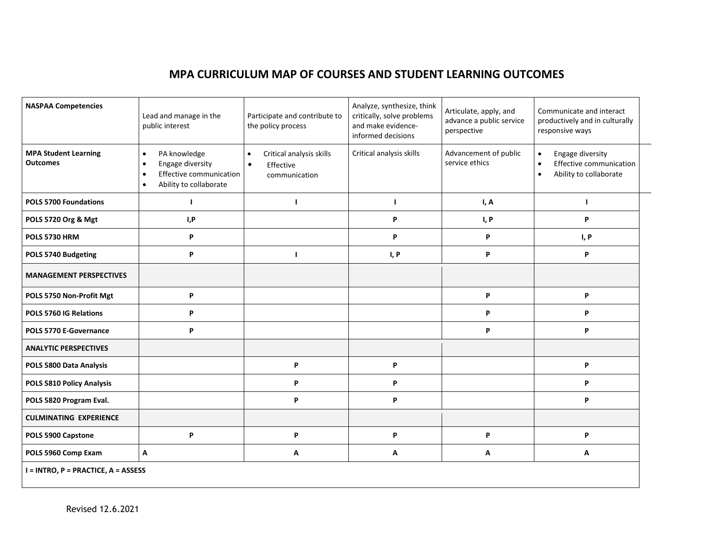# **MPA CURRICULUM MAP OF COURSES AND STUDENT LEARNING OUTCOMES**

| <b>NASPAA Competencies</b>                     | Lead and manage in the<br>public interest                                                                                                 | Participate and contribute to<br>the policy process                              | Analyze, synthesize, think<br>critically, solve problems<br>and make evidence-<br>informed decisions | Articulate, apply, and<br>advance a public service<br>perspective | Communicate and interact<br>productively and in culturally<br>responsive ways                                |  |  |
|------------------------------------------------|-------------------------------------------------------------------------------------------------------------------------------------------|----------------------------------------------------------------------------------|------------------------------------------------------------------------------------------------------|-------------------------------------------------------------------|--------------------------------------------------------------------------------------------------------------|--|--|
| <b>MPA Student Learning</b><br><b>Outcomes</b> | PA knowledge<br>$\bullet$<br>Engage diversity<br>$\bullet$<br>Effective communication<br>$\bullet$<br>Ability to collaborate<br>$\bullet$ | Critical analysis skills<br>$\bullet$<br>$\bullet$<br>Effective<br>communication | Critical analysis skills                                                                             | Advancement of public<br>service ethics                           | Engage diversity<br>$\bullet$<br>Effective communication<br>$\bullet$<br>Ability to collaborate<br>$\bullet$ |  |  |
| <b>POLS 5700 Foundations</b>                   | $\mathbf{I}$                                                                                                                              | п                                                                                | J.                                                                                                   | I, A                                                              | л                                                                                                            |  |  |
| POLS 5720 Org & Mgt                            | I,P                                                                                                                                       |                                                                                  | P                                                                                                    | I, P                                                              | P                                                                                                            |  |  |
| <b>POLS 5730 HRM</b>                           | P                                                                                                                                         |                                                                                  | P                                                                                                    | P                                                                 | I, P                                                                                                         |  |  |
| POLS 5740 Budgeting                            | P                                                                                                                                         | т                                                                                | I, P                                                                                                 | P                                                                 | P                                                                                                            |  |  |
| <b>MANAGEMENT PERSPECTIVES</b>                 |                                                                                                                                           |                                                                                  |                                                                                                      |                                                                   |                                                                                                              |  |  |
| POLS 5750 Non-Profit Mgt                       | P                                                                                                                                         |                                                                                  |                                                                                                      | P                                                                 | P                                                                                                            |  |  |
| POLS 5760 IG Relations                         | P                                                                                                                                         |                                                                                  |                                                                                                      | P                                                                 | P                                                                                                            |  |  |
| POLS 5770 E-Governance                         | P                                                                                                                                         |                                                                                  |                                                                                                      | P                                                                 | P                                                                                                            |  |  |
| <b>ANALYTIC PERSPECTIVES</b>                   |                                                                                                                                           |                                                                                  |                                                                                                      |                                                                   |                                                                                                              |  |  |
| POLS 5800 Data Analysis                        |                                                                                                                                           | P                                                                                | P                                                                                                    |                                                                   | P                                                                                                            |  |  |
| POLS 5810 Policy Analysis                      |                                                                                                                                           | P                                                                                | P                                                                                                    |                                                                   | P                                                                                                            |  |  |
| POLS 5820 Program Eval.                        |                                                                                                                                           | P                                                                                | P                                                                                                    |                                                                   | P                                                                                                            |  |  |
| <b>CULMINATING EXPERIENCE</b>                  |                                                                                                                                           |                                                                                  |                                                                                                      |                                                                   |                                                                                                              |  |  |
| POLS 5900 Capstone                             | P                                                                                                                                         | P                                                                                | P                                                                                                    | P                                                                 | P                                                                                                            |  |  |
| POLS 5960 Comp Exam                            | Α                                                                                                                                         | А                                                                                | Α                                                                                                    | Α                                                                 | Α                                                                                                            |  |  |
| I = INTRO, P = PRACTICE, A = ASSESS            |                                                                                                                                           |                                                                                  |                                                                                                      |                                                                   |                                                                                                              |  |  |

,我们也不会有什么。""我们的人,我们也不会有什么?""我们的人,我们也不会有什么?""我们的人,我们也不会有什么?""我们的人,我们也不会有什么?""我们的人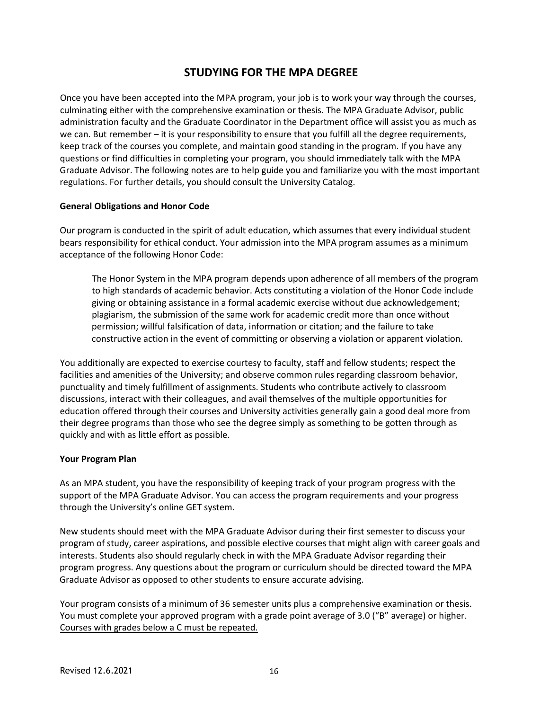# **STUDYING FOR THE MPA DEGREE**

Once you have been accepted into the MPA program, your job is to work your way through the courses, culminating either with the comprehensive examination or thesis. The MPA Graduate Advisor, public administration faculty and the Graduate Coordinator in the Department office will assist you as much as we can. But remember – it is your responsibility to ensure that you fulfill all the degree requirements, keep track of the courses you complete, and maintain good standing in the program. If you have any questions or find difficulties in completing your program, you should immediately talk with the MPA Graduate Advisor. The following notes are to help guide you and familiarize you with the most important regulations. For further details, you should consult the University Catalog.

### **General Obligations and Honor Code**

Our program is conducted in the spirit of adult education, which assumes that every individual student bears responsibility for ethical conduct. Your admission into the MPA program assumes as a minimum acceptance of the following Honor Code:

The Honor System in the MPA program depends upon adherence of all members of the program to high standards of academic behavior. Acts constituting a violation of the Honor Code include giving or obtaining assistance in a formal academic exercise without due acknowledgement; plagiarism, the submission of the same work for academic credit more than once without permission; willful falsification of data, information or citation; and the failure to take constructive action in the event of committing or observing a violation or apparent violation.

You additionally are expected to exercise courtesy to faculty, staff and fellow students; respect the facilities and amenities of the University; and observe common rules regarding classroom behavior, punctuality and timely fulfillment of assignments. Students who contribute actively to classroom discussions, interact with their colleagues, and avail themselves of the multiple opportunities for education offered through their courses and University activities generally gain a good deal more from their degree programs than those who see the degree simply as something to be gotten through as quickly and with as little effort as possible.

### **Your Program Plan**

As an MPA student, you have the responsibility of keeping track of your program progress with the support of the MPA Graduate Advisor. You can access the program requirements and your progress through the University's online GET system.

New students should meet with the MPA Graduate Advisor during their first semester to discuss your program of study, career aspirations, and possible elective courses that might align with career goals and interests. Students also should regularly check in with the MPA Graduate Advisor regarding their program progress. Any questions about the program or curriculum should be directed toward the MPA Graduate Advisor as opposed to other students to ensure accurate advising.

Your program consists of a minimum of 36 semester units plus a comprehensive examination or thesis. You must complete your approved program with a grade point average of 3.0 ("B" average) or higher. Courses with grades below a C must be repeated.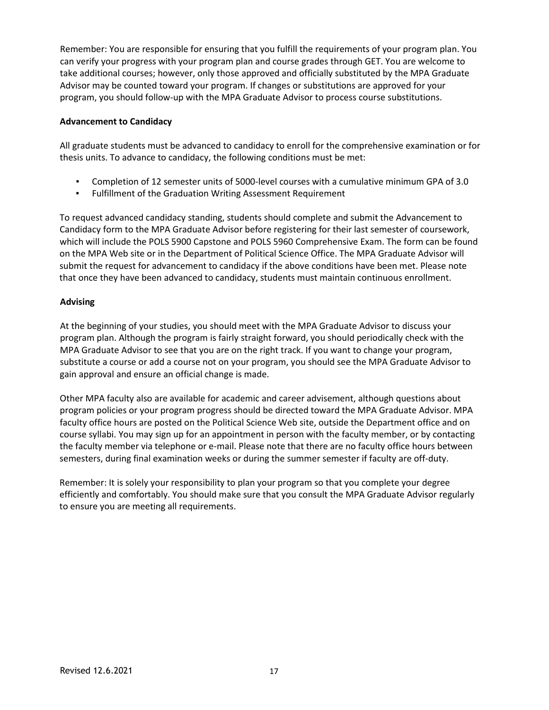Remember: You are responsible for ensuring that you fulfill the requirements of your program plan. You can verify your progress with your program plan and course grades through GET. You are welcome to take additional courses; however, only those approved and officially substituted by the MPA Graduate Advisor may be counted toward your program. If changes or substitutions are approved for your program, you should follow-up with the MPA Graduate Advisor to process course substitutions.

### **Advancement to Candidacy**

All graduate students must be advanced to candidacy to enroll for the comprehensive examination or for thesis units. To advance to candidacy, the following conditions must be met:

- Completion of 12 semester units of 5000-level courses with a cumulative minimum GPA of 3.0
- Fulfillment of the Graduation Writing Assessment Requirement

To request advanced candidacy standing, students should complete and submit the Advancement to Candidacy form to the MPA Graduate Advisor before registering for their last semester of coursework, which will include the POLS 5900 Capstone and POLS 5960 Comprehensive Exam. The form can be found on the MPA Web site or in the Department of Political Science Office. The MPA Graduate Advisor will submit the request for advancement to candidacy if the above conditions have been met. Please note that once they have been advanced to candidacy, students must maintain continuous enrollment.

### **Advising**

At the beginning of your studies, you should meet with the MPA Graduate Advisor to discuss your program plan. Although the program is fairly straight forward, you should periodically check with the MPA Graduate Advisor to see that you are on the right track. If you want to change your program, substitute a course or add a course not on your program, you should see the MPA Graduate Advisor to gain approval and ensure an official change is made.

Other MPA faculty also are available for academic and career advisement, although questions about program policies or your program progress should be directed toward the MPA Graduate Advisor. MPA faculty office hours are posted on the Political Science Web site, outside the Department office and on course syllabi. You may sign up for an appointment in person with the faculty member, or by contacting the faculty member via telephone or e-mail. Please note that there are no faculty office hours between semesters, during final examination weeks or during the summer semester if faculty are off-duty.

Remember: It is solely your responsibility to plan your program so that you complete your degree efficiently and comfortably. You should make sure that you consult the MPA Graduate Advisor regularly to ensure you are meeting all requirements.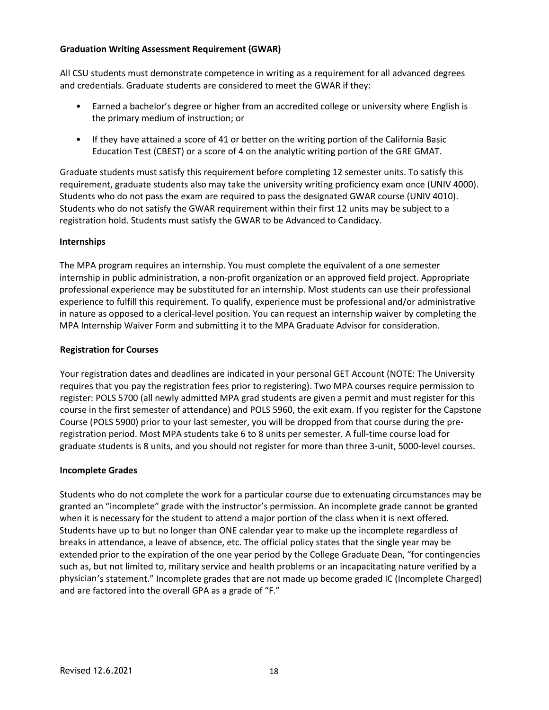### **Graduation Writing Assessment Requirement (GWAR)**

All CSU students must demonstrate competence in writing as a requirement for all advanced degrees and credentials. Graduate students are considered to meet the GWAR if they:

- Earned a bachelor's degree or higher from an accredited college or university where English is the primary medium of instruction; or
- If they have attained a score of 41 or better on the writing portion of the California Basic Education Test (CBEST) or a score of 4 on the analytic writing portion of the GRE GMAT.

Graduate students must satisfy this requirement before completing 12 semester units. To satisfy this requirement, graduate students also may take the university writing proficiency exam once (UNIV 4000). Students who do not pass the exam are required to pass the designated GWAR course (UNIV 4010). Students who do not satisfy the GWAR requirement within their first 12 units may be subject to a registration hold. Students must satisfy the GWAR to be Advanced to Candidacy.

#### **Internships**

The MPA program requires an internship. You must complete the equivalent of a one semester internship in public administration, a non-profit organization or an approved field project. Appropriate professional experience may be substituted for an internship. Most students can use their professional experience to fulfill this requirement. To qualify, experience must be professional and/or administrative in nature as opposed to a clerical-level position. You can request an internship waiver by completing the MPA Internship Waiver Form and submitting it to the MPA Graduate Advisor for consideration.

### **Registration for Courses**

Your registration dates and deadlines are indicated in your personal GET Account (NOTE: The University requires that you pay the registration fees prior to registering). Two MPA courses require permission to register: POLS 5700 (all newly admitted MPA grad students are given a permit and must register for this course in the first semester of attendance) and POLS 5960, the exit exam. If you register for the Capstone Course (POLS 5900) prior to your last semester, you will be dropped from that course during the preregistration period. Most MPA students take 6 to 8 units per semester. A full-time course load for graduate students is 8 units, and you should not register for more than three 3-unit, 5000-level courses.

#### **Incomplete Grades**

Students who do not complete the work for a particular course due to extenuating circumstances may be granted an "incomplete" grade with the instructor's permission. An incomplete grade cannot be granted when it is necessary for the student to attend a major portion of the class when it is next offered. Students have up to but no longer than ONE calendar year to make up the incomplete regardless of breaks in attendance, a leave of absence, etc. The official policy states that the single year may be extended prior to the expiration of the one year period by the College Graduate Dean, "for contingencies such as, but not limited to, military service and health problems or an incapacitating nature verified by a physician's statement." Incomplete grades that are not made up become graded IC (Incomplete Charged) and are factored into the overall GPA as a grade of "F."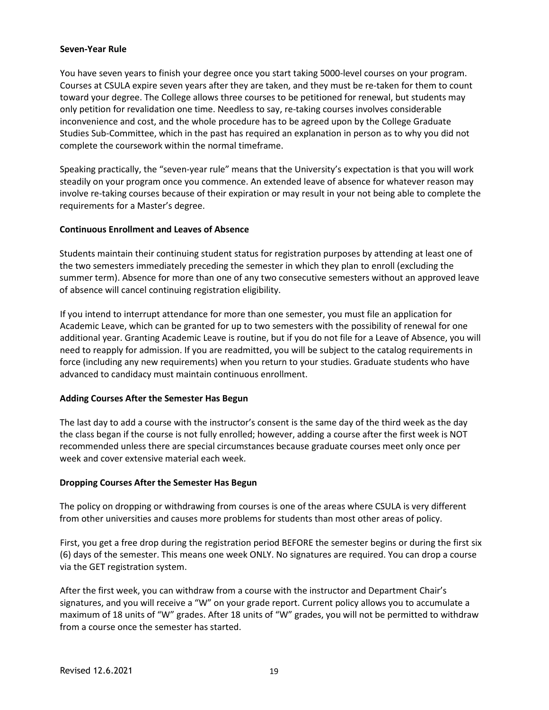#### **Seven-Year Rule**

You have seven years to finish your degree once you start taking 5000-level courses on your program. Courses at CSULA expire seven years after they are taken, and they must be re-taken for them to count toward your degree. The College allows three courses to be petitioned for renewal, but students may only petition for revalidation one time. Needless to say, re-taking courses involves considerable inconvenience and cost, and the whole procedure has to be agreed upon by the College Graduate Studies Sub-Committee, which in the past has required an explanation in person as to why you did not complete the coursework within the normal timeframe.

Speaking practically, the "seven-year rule" means that the University's expectation is that you will work steadily on your program once you commence. An extended leave of absence for whatever reason may involve re-taking courses because of their expiration or may result in your not being able to complete the requirements for a Master's degree.

#### **Continuous Enrollment and Leaves of Absence**

Students maintain their continuing student status for registration purposes by attending at least one of the two semesters immediately preceding the semester in which they plan to enroll (excluding the summer term). Absence for more than one of any two consecutive semesters without an approved leave of absence will cancel continuing registration eligibility.

If you intend to interrupt attendance for more than one semester, you must file an application for Academic Leave, which can be granted for up to two semesters with the possibility of renewal for one additional year. Granting Academic Leave is routine, but if you do not file for a Leave of Absence, you will need to reapply for admission. If you are readmitted, you will be subject to the catalog requirements in force (including any new requirements) when you return to your studies. Graduate students who have advanced to candidacy must maintain continuous enrollment.

#### **Adding Courses After the Semester Has Begun**

The last day to add a course with the instructor's consent is the same day of the third week as the day the class began if the course is not fully enrolled; however, adding a course after the first week is NOT recommended unless there are special circumstances because graduate courses meet only once per week and cover extensive material each week.

#### **Dropping Courses After the Semester Has Begun**

The policy on dropping or withdrawing from courses is one of the areas where CSULA is very different from other universities and causes more problems for students than most other areas of policy.

First, you get a free drop during the registration period BEFORE the semester begins or during the first six (6) days of the semester. This means one week ONLY. No signatures are required. You can drop a course via the GET registration system.

After the first week, you can withdraw from a course with the instructor and Department Chair's signatures, and you will receive a "W" on your grade report. Current policy allows you to accumulate a maximum of 18 units of "W" grades. After 18 units of "W" grades, you will not be permitted to withdraw from a course once the semester has started.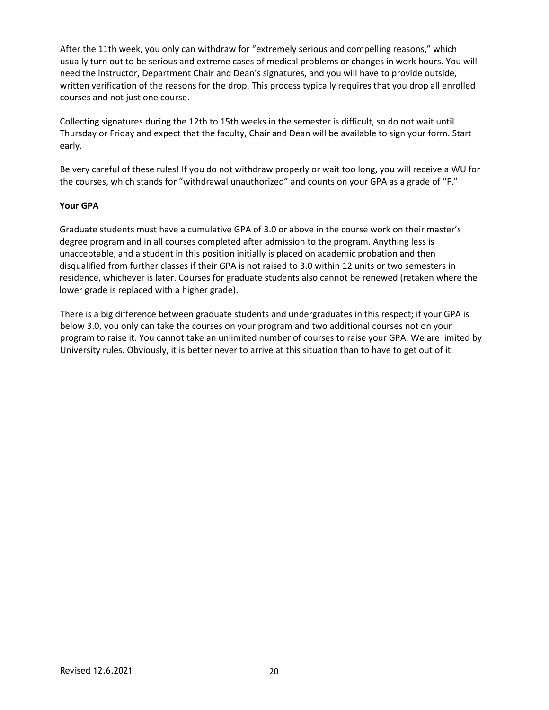After the 11th week, you only can withdraw for "extremely serious and compelling reasons," which usually turn out to be serious and extreme cases of medical problems or changes in work hours. You will need the instructor, Department Chair and Dean's signatures, and you will have to provide outside, written verification of the reasons for the drop. This process typically requires that you drop all enrolled courses and not just one course.

Collecting signatures during the 12th to 15th weeks in the semester is difficult, so do not wait until Thursday or Friday and expect that the faculty, Chair and Dean will be available to sign your form. Start early.

Be very careful of these rules! If you do not withdraw properly or wait too long, you will receive a WU for the courses, which stands for "withdrawal unauthorized" and counts on your GPA as a grade of "F."

#### **Your GPA**

Graduate students must have a cumulative GPA of 3.0 or above in the course work on their master's degree program and in all courses completed after admission to the program. Anything less is unacceptable, and a student in this position initially is placed on academic probation and then disqualified from further classes if their GPA is not raised to 3.0 within 12 units or two semesters in residence, whichever is later. Courses for graduate students also cannot be renewed (retaken where the lower grade is replaced with a higher grade).

There is a big difference between graduate students and undergraduates in this respect; if your GPA is below 3.0, you only can take the courses on your program and two additional courses not on your program to raise it. You cannot take an unlimited number of courses to raise your GPA. We are limited by University rules. Obviously, it is better never to arrive at this situation than to have to get out of it.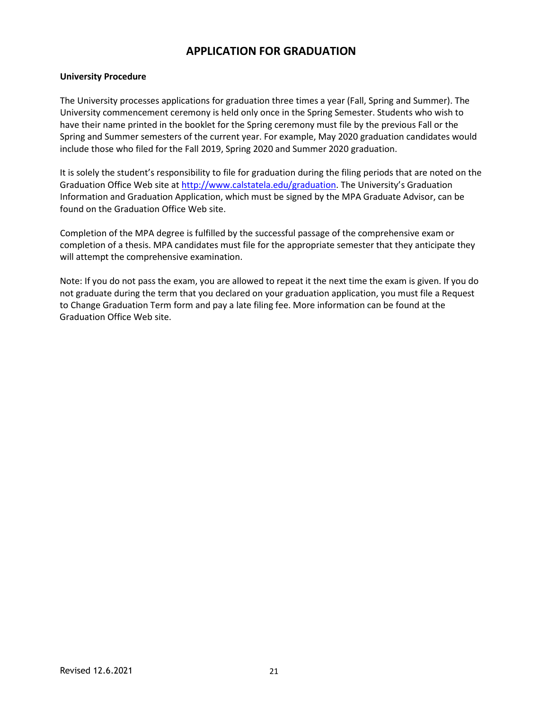# **APPLICATION FOR GRADUATION**

### **University Procedure**

The University processes applications for graduation three times a year (Fall, Spring and Summer). The University commencement ceremony is held only once in the Spring Semester. Students who wish to have their name printed in the booklet for the Spring ceremony must file by the previous Fall or the Spring and Summer semesters of the current year. For example, May 2020 graduation candidates would include those who filed for the Fall 2019, Spring 2020 and Summer 2020 graduation.

It is solely the student's responsibility to file for graduation during the filing periods that are noted on the Graduation Office Web site at [http://www.calstatela.edu/graduation.](http://www.calstatela.edu/graduation) The University's Graduation Information and Graduation Application, which must be signed by the MPA Graduate Advisor, can be found on the Graduation Office Web site.

Completion of the MPA degree is fulfilled by the successful passage of the comprehensive exam or completion of a thesis. MPA candidates must file for the appropriate semester that they anticipate they will attempt the comprehensive examination.

Note: If you do not pass the exam, you are allowed to repeat it the next time the exam is given. If you do not graduate during the term that you declared on your graduation application, you must file a Request to Change Graduation Term form and pay a late filing fee. More information can be found at the Graduation Office Web site.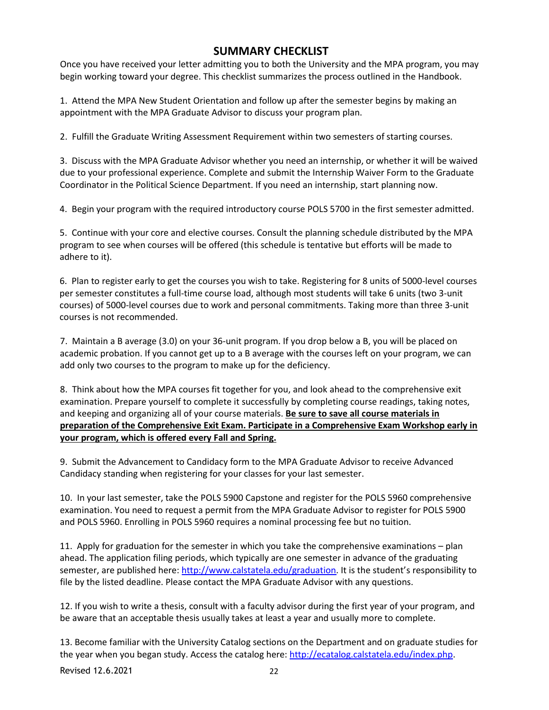# **SUMMARY CHECKLIST**

Once you have received your letter admitting you to both the University and the MPA program, you may begin working toward your degree. This checklist summarizes the process outlined in the Handbook.

1. Attend the MPA New Student Orientation and follow up after the semester begins by making an appointment with the MPA Graduate Advisor to discuss your program plan.

2. Fulfill the Graduate Writing Assessment Requirement within two semesters of starting courses.

3. Discuss with the MPA Graduate Advisor whether you need an internship, or whether it will be waived due to your professional experience. Complete and submit the Internship Waiver Form to the Graduate Coordinator in the Political Science Department. If you need an internship, start planning now.

4. Begin your program with the required introductory course POLS 5700 in the first semester admitted.

5. Continue with your core and elective courses. Consult the planning schedule distributed by the MPA program to see when courses will be offered (this schedule is tentative but efforts will be made to adhere to it).

6. Plan to register early to get the courses you wish to take. Registering for 8 units of 5000-level courses per semester constitutes a full-time course load, although most students will take 6 units (two 3-unit courses) of 5000-level courses due to work and personal commitments. Taking more than three 3-unit courses is not recommended.

7. Maintain a B average (3.0) on your 36-unit program. If you drop below a B, you will be placed on academic probation. If you cannot get up to a B average with the courses left on your program, we can add only two courses to the program to make up for the deficiency.

8. Think about how the MPA courses fit together for you, and look ahead to the comprehensive exit examination. Prepare yourself to complete it successfully by completing course readings, taking notes, and keeping and organizing all of your course materials. **Be sure to save all course materials in preparation of the Comprehensive Exit Exam. Participate in a Comprehensive Exam Workshop early in your program, which is offered every Fall and Spring.**

9. Submit the Advancement to Candidacy form to the MPA Graduate Advisor to receive Advanced Candidacy standing when registering for your classes for your last semester.

10. In your last semester, take the POLS 5900 Capstone and register for the POLS 5960 comprehensive examination. You need to request a permit from the MPA Graduate Advisor to register for POLS 5900 and POLS 5960. Enrolling in POLS 5960 requires a nominal processing fee but no tuition.

11. Apply for graduation for the semester in which you take the comprehensive examinations – plan ahead. The application filing periods, which typically are one semester in advance of the graduating semester, are published here: [http://www.calstatela.edu/graduation.](http://www.calstatela.edu/graduation) It is the student's responsibility to file by the listed deadline. Please contact the MPA Graduate Advisor with any questions.

12. If you wish to write a thesis, consult with a faculty advisor during the first year of your program, and be aware that an acceptable thesis usually takes at least a year and usually more to complete.

13. Become familiar with the University Catalog sections on the Department and on graduate studies for the year when you began study. Access the catalog here: [http://ecatalog.calstatela.edu/index.php.](http://ecatalog.calstatela.edu/index.php)

Revised 12.6.2021 22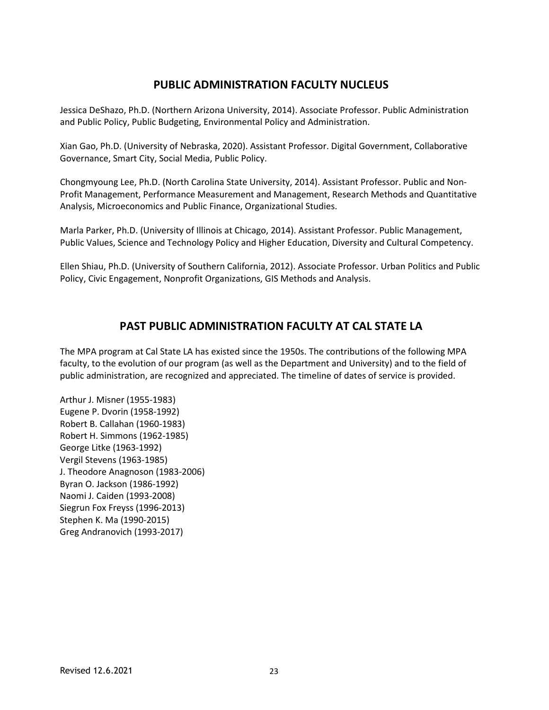# **PUBLIC ADMINISTRATION FACULTY NUCLEUS**

Jessica DeShazo, Ph.D. (Northern Arizona University, 2014). Associate Professor. Public Administration and Public Policy, Public Budgeting, Environmental Policy and Administration.

Xian Gao, Ph.D. (University of Nebraska, 2020). Assistant Professor. Digital Government, Collaborative Governance, Smart City, Social Media, Public Policy.

Chongmyoung Lee, Ph.D. (North Carolina State University, 2014). Assistant Professor. Public and Non-Profit Management, Performance Measurement and Management, Research Methods and Quantitative Analysis, Microeconomics and Public Finance, Organizational Studies.

Marla Parker, Ph.D. (University of Illinois at Chicago, 2014). Assistant Professor. Public Management, Public Values, Science and Technology Policy and Higher Education, Diversity and Cultural Competency.

Ellen Shiau, Ph.D. (University of Southern California, 2012). Associate Professor. Urban Politics and Public Policy, Civic Engagement, Nonprofit Organizations, GIS Methods and Analysis.

# **PAST PUBLIC ADMINISTRATION FACULTY AT CAL STATE LA**

The MPA program at Cal State LA has existed since the 1950s. The contributions of the following MPA faculty, to the evolution of our program (as well as the Department and University) and to the field of public administration, are recognized and appreciated. The timeline of dates of service is provided.

Arthur J. Misner (1955-1983) Eugene P. Dvorin (1958-1992) Robert B. Callahan (1960-1983) Robert H. Simmons (1962-1985) George Litke (1963-1992) Vergil Stevens (1963-1985) J. Theodore Anagnoson (1983-2006) Byran O. Jackson (1986-1992) Naomi J. Caiden (1993-2008) Siegrun Fox Freyss (1996-2013) Stephen K. Ma (1990-2015) Greg Andranovich (1993-2017)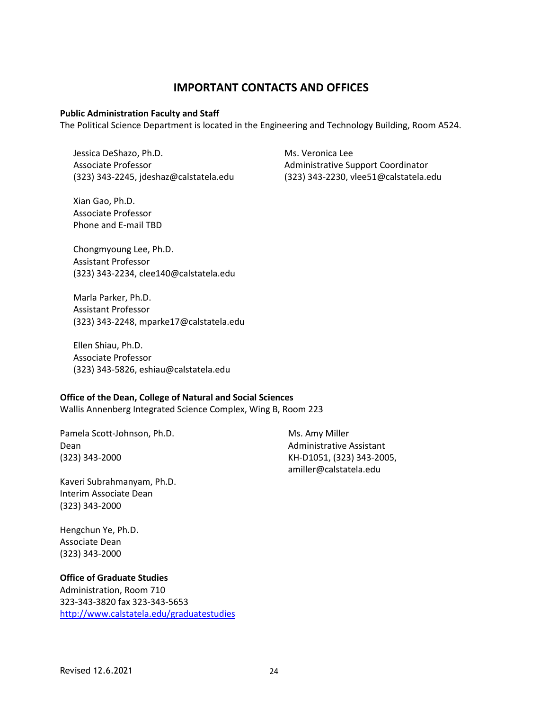### **IMPORTANT CONTACTS AND OFFICES**

#### **Public Administration Faculty and Staff**

The Political Science Department is located in the Engineering and Technology Building, Room A524.

Jessica DeShazo, Ph.D. Associate Professor (323) 343-2245, jdeshaz@calstatela.edu

Xian Gao, Ph.D. Associate Professor Phone and E-mail TBD Ms. Veronica Lee Administrative Support Coordinator (323) 343-2230, vlee51@calstatela.edu

Chongmyoung Lee, Ph.D. Assistant Professor (323) 343-2234, clee140@calstatela.edu

Marla Parker, Ph.D. Assistant Professor (323) 343-2248, mparke17@calstatela.edu

Ellen Shiau, Ph.D. Associate Professor (323) 343-5826, eshiau@calstatela.edu

#### **Office of the Dean, College of Natural and Social Sciences**

Wallis Annenberg Integrated Science Complex, Wing B, Room 223

Pamela Scott-Johnson, Ph.D. Dean (323) 343-2000

Kaveri Subrahmanyam, Ph.D. Interim Associate Dean (323) 343-2000

Hengchun Ye, Ph.D. Associate Dean (323) 343-2000

#### **Office of Graduate Studies**

Administration, Room 710 323-343-3820 fax 323-343-5653 <http://www.calstatela.edu/graduatestudies> Ms. Amy Miller Administrative Assistant KH-D1051, (323) 343-2005, amiller@calstatela.edu